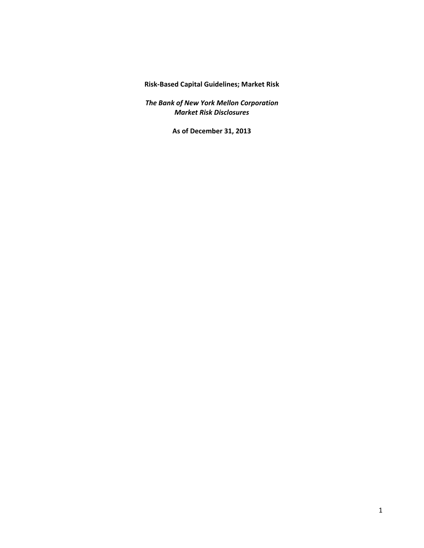**Risk‐Based Capital Guidelines; Market Risk**

 *The Bank of New York Mellon Corporation Market Risk Disclosures*

 **As of December 31, 2013**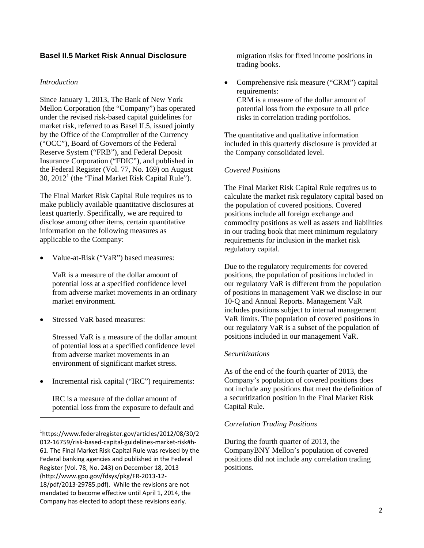# **Basel II.5 Market Risk Annual Disclosure**

## *Introduction*

Since January 1, 2013, The Bank of New York Mellon Corporation (the "Company") has operated under the revised risk-based capital guidelines for market risk, referred to as Basel II.5, issued jointly by the Office of the Comptroller of the Currency ("OCC"), Board of Governors of the Federal Reserve System ("FRB"), and Federal Deposit Insurance Corporation ("FDIC"), and published in the Federal Register (Vol. 77, No. 169) on August  $30$ ,  $2012<sup>1</sup>$  (the "Final Market Risk Capital Rule").

The Final Market Risk Capital Rule requires us to make publicly available quantitative disclosures at least quarterly. Specifically, we are required to disclose among other items, certain quantitative information on the following measures as applicable to the Company:

Value-at-Risk ("VaR") based measures:

VaR is a measure of the dollar amount of potential loss at a specified confidence level from adverse market movements in an ordinary market environment.

Stressed VaR based measures:

Stressed VaR is a measure of the dollar amount of potential loss at a specified confidence level from adverse market movements in an environment of significant market stress.

Incremental risk capital ("IRC") requirements:

IRC is a measure of the dollar amount of potential loss from the exposure to default and

migration risks for fixed income positions in trading books.

• Comprehensive risk measure ("CRM") capital requirements: CRM is a measure of the dollar amount of potential loss from the exposure to all price risks in correlation trading portfolios.

The quantitative and qualitative information included in this quarterly disclosure is provided at the Company consolidated level.

## *Covered Positions*

The Final Market Risk Capital Rule requires us to calculate the market risk regulatory capital based on the population of covered positions. Covered positions include all foreign exchange and commodity positions as well as assets and liabilities in our trading book that meet minimum regulatory requirements for inclusion in the market risk regulatory capital.

Due to the regulatory requirements for covered positions, the population of positions included in our regulatory VaR is different from the population of positions in management VaR we disclose in our 10-Q and Annual Reports. Management VaR includes positions subject to internal management VaR limits. The population of covered positions in our regulatory VaR is a subset of the population of positions included in our management VaR.

## *Securitizations*

As of the end of the fourth quarter of 2013, the Company's population of covered positions does not include any positions that meet the definition of a securitization position in the Final Market Risk Capital Rule.

## *Correlation Trading Positions*

During the fourth quarter of 2013, the CompanyBNY Mellon's population of covered positions did not include any correlation trading positions.

 61. The Final Market Risk Capital Rule was revised by the Federal banking agencies and published in the Federal Register (Vol. 78, No. 243) on December 18, 2013 18/pdf/2013‐29785.pdf). While the revisions are not mandated to become effective until April 1, 2014, the Company has elected to adopt these revisions early. 1 https://www.federalregister.gov/articles/2012/08/30/2 012‐16759/risk‐based‐capital‐guidelines‐market‐risk#h‐ (http://www.gpo.gov/fdsys/pkg/FR‐2013‐12‐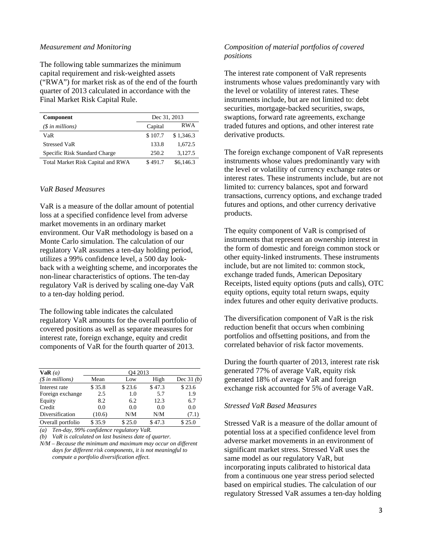#### *Measurement and Monitoring*

The following table summarizes the minimum capital requirement and risk-weighted assets ("RWA") for market risk as of the end of the fourth quarter of 2013 calculated in accordance with the Final Market Risk Capital Rule.

| <b>Component</b>                  | Dec 31, 2013 |            |
|-----------------------------------|--------------|------------|
| $(\$$ in millions)                | Capital      | <b>RWA</b> |
| VaR                               | \$107.7      | \$1,346.3  |
| <b>Stressed VaR</b>               | 133.8        | 1,672.5    |
| Specific Risk Standard Charge     | 250.2        | 3.127.5    |
| Total Market Risk Capital and RWA | \$491.7      | \$6,146.3  |

#### *VaR Based Measures*

VaR is a measure of the dollar amount of potential loss at a specified confidence level from adverse market movements in an ordinary market environment. Our VaR methodology is based on a Monte Carlo simulation. The calculation of our regulatory VaR assumes a ten-day holding period, utilizes a 99% confidence level, a 500 day lookback with a weighting scheme, and incorporates the non-linear characteristics of options. The ten-day regulatory VaR is derived by scaling one-day VaR to a ten-day holding period.

The following table indicates the calculated regulatory VaR amounts for the overall portfolio of covered positions as well as separate measures for interest rate, foreign exchange, equity and credit components of VaR for the fourth quarter of 2013.

| VaR(a)<br>$(\text{\$ in millions})$ | O <sub>4</sub> 2013 |        |        |             |
|-------------------------------------|---------------------|--------|--------|-------------|
|                                     | Mean                | Low    | High   | Dec $31(b)$ |
| Interest rate                       | \$35.8              | \$23.6 | \$47.3 | \$23.6      |
| Foreign exchange                    | 2.5                 | 1.0    | 5.7    | 1.9         |
| Equity                              | 8.2                 | 6.2    | 12.3   | 6.7         |
| Credit                              | 0.0                 | 0.0    | 0.0    | 0.0         |
| Diversification                     | (10.6)              | N/M    | N/M    | (7.1)       |
| Overall portfolio                   | \$35.9              | \$25.0 | \$47.3 | \$25.0      |

*(a) Ten-day, 99% confidence regulatory VaR.* 

*(b) VaR is calculated on last business date of quarter.* 

*N/M* – *Because the minimum and maximum may occur on different days for different risk components, it is not meaningful to compute a portfolio diversification effect.* 

## *Composition of material portfolios of covered positions*

The interest rate component of VaR represents instruments whose values predominantly vary with the level or volatility of interest rates. These instruments include, but are not limited to: debt securities, mortgage-backed securities, swaps, swaptions, forward rate agreements, exchange traded futures and options, and other interest rate derivative products.

The foreign exchange component of VaR represents instruments whose values predominantly vary with the level or volatility of currency exchange rates or interest rates. These instruments include, but are not limited to: currency balances, spot and forward transactions, currency options, and exchange traded futures and options, and other currency derivative products.

The equity component of VaR is comprised of instruments that represent an ownership interest in the form of domestic and foreign common stock or other equity-linked instruments. These instruments include, but are not limited to: common stock, exchange traded funds, American Depositary Receipts, listed equity options (puts and calls), OTC equity options, equity total return swaps, equity index futures and other equity derivative products.

The diversification component of VaR is the risk reduction benefit that occurs when combining portfolios and offsetting positions, and from the correlated behavior of risk factor movements.

During the fourth quarter of 2013, interest rate risk generated 77% of average VaR, equity risk generated 18% of average VaR and foreign exchange risk accounted for 5% of average VaR.

#### *Stressed VaR Based Measures*

Stressed VaR is a measure of the dollar amount of potential loss at a specified confidence level from adverse market movements in an environment of significant market stress. Stressed VaR uses the same model as our regulatory VaR, but incorporating inputs calibrated to historical data from a continuous one year stress period selected based on empirical studies. The calculation of our regulatory Stressed VaR assumes a ten-day holding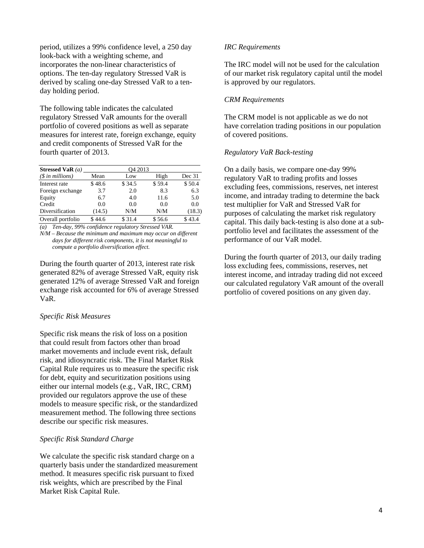period, utilizes a 99% confidence level, a 250 day look-back with a weighting scheme, and incorporates the non-linear characteristics of options. The ten-day regulatory Stressed VaR is derived by scaling one-day Stressed VaR to a tenday holding period.

The following table indicates the calculated regulatory Stressed VaR amounts for the overall portfolio of covered positions as well as separate measures for interest rate, foreign exchange, equity and credit components of Stressed VaR for the fourth quarter of 2013.

| Stressed VaR $(a)$        | O <sub>4</sub> 2013 |        |        |        |  |
|---------------------------|---------------------|--------|--------|--------|--|
| $(\text{\$ in millions})$ | Mean                | Low    | High   | Dec 31 |  |
| Interest rate             | \$48.6              | \$34.5 | \$59.4 | \$50.4 |  |
| Foreign exchange          | 3.7                 | 2.0    | 8.3    | 6.3    |  |
| Equity                    | 6.7                 | 4.0    | 11.6   | 5.0    |  |
| Credit                    | 0.0                 | 0.0    | 0.0    | 0.0    |  |
| Diversification           | (14.5)              | N/M    | N/M    | (18.3) |  |
| Overall portfolio         | \$44.6              | \$31.4 | \$56.6 | \$43.4 |  |

*(a) Ten-day, 99% confidence regulatory Stressed VAR.* 

*N/M* – *Because the minimum and maximum may occur on different days for different risk components, it is not meaningful to compute a portfolio diversification effect.* 

During the fourth quarter of 2013, interest rate risk generated 82% of average Stressed VaR, equity risk generated 12% of average Stressed VaR and foreign exchange risk accounted for 6% of average Stressed VaR.

## *Specific Risk Measures*

Specific risk means the risk of loss on a position that could result from factors other than broad market movements and include event risk, default risk, and idiosyncratic risk. The Final Market Risk Capital Rule requires us to measure the specific risk for debt, equity and securitization positions using either our internal models (e.g., VaR, IRC, CRM) provided our regulators approve the use of these models to measure specific risk, or the standardized measurement method. The following three sections describe our specific risk measures.

#### *Specific Risk Standard Charge*

We calculate the specific risk standard charge on a quarterly basis under the standardized measurement method. It measures specific risk pursuant to fixed risk weights, which are prescribed by the Final Market Risk Capital Rule.

#### *IRC Requirements*

The IRC model will not be used for the calculation of our market risk regulatory capital until the model is approved by our regulators.

## *CRM Requirements*

The CRM model is not applicable as we do not have correlation trading positions in our population of covered positions.

## *Regulatory VaR Back-testing*

On a daily basis, we compare one-day 99% regulatory VaR to trading profits and losses excluding fees, commissions, reserves, net interest income, and intraday trading to determine the back test multiplier for VaR and Stressed VaR for purposes of calculating the market risk regulatory capital. This daily back-testing is also done at a subportfolio level and facilitates the assessment of the performance of our VaR model.

During the fourth quarter of 2013, our daily trading loss excluding fees, commissions, reserves, net interest income, and intraday trading did not exceed our calculated regulatory VaR amount of the overall portfolio of covered positions on any given day.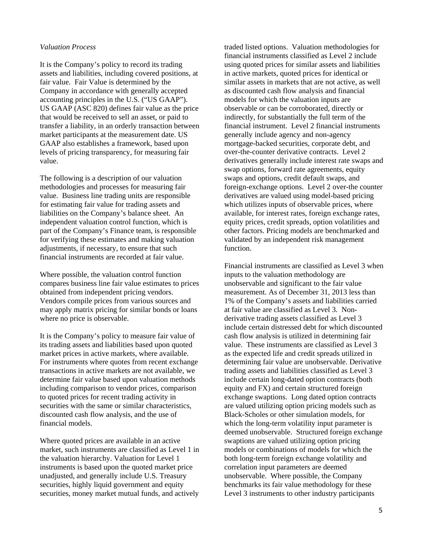## *Valuation Process*

It is the Company's policy to record its trading assets and liabilities, including covered positions, at fair value. Fair Value is determined by the Company in accordance with generally accepted accounting principles in the U.S. ("US GAAP"). US GAAP (ASC 820) defines fair value as the price that would be received to sell an asset, or paid to transfer a liability, in an orderly transaction between market participants at the measurement date. US GAAP also establishes a framework, based upon levels of pricing transparency, for measuring fair value.

The following is a description of our valuation methodologies and processes for measuring fair value. Business line trading units are responsible for estimating fair value for trading assets and liabilities on the Company's balance sheet. An independent valuation control function, which is part of the Company's Finance team, is responsible for verifying these estimates and making valuation adjustments, if necessary, to ensure that such financial instruments are recorded at fair value.

Where possible, the valuation control function compares business line fair value estimates to prices obtained from independent pricing vendors. Vendors compile prices from various sources and may apply matrix pricing for similar bonds or loans where no price is observable.

It is the Company's policy to measure fair value of its trading assets and liabilities based upon quoted market prices in active markets, where available. For instruments where quotes from recent exchange transactions in active markets are not available, we determine fair value based upon valuation methods including comparison to vendor prices, comparison to quoted prices for recent trading activity in securities with the same or similar characteristics, discounted cash flow analysis, and the use of financial models.

Where quoted prices are available in an active market, such instruments are classified as Level 1 in the valuation hierarchy. Valuation for Level 1 instruments is based upon the quoted market price unadjusted, and generally include U.S. Treasury securities, highly liquid government and equity securities, money market mutual funds, and actively

traded listed options. Valuation methodologies for financial instruments classified as Level 2 include using quoted prices for similar assets and liabilities in active markets, quoted prices for identical or similar assets in markets that are not active, as well as discounted cash flow analysis and financial models for which the valuation inputs are observable or can be corroborated, directly or indirectly, for substantially the full term of the financial instrument. Level 2 financial instruments generally include agency and non-agency mortgage-backed securities, corporate debt, and over-the-counter derivative contracts. Level 2 derivatives generally include interest rate swaps and swap options, forward rate agreements, equity swaps and options, credit default swaps, and foreign-exchange options. Level 2 over-the counter derivatives are valued using model-based pricing which utilizes inputs of observable prices, where available, for interest rates, foreign exchange rates, equity prices, credit spreads, option volatilities and other factors. Pricing models are benchmarked and validated by an independent risk management function.

Financial instruments are classified as Level 3 when inputs to the valuation methodology are unobservable and significant to the fair value measurement. As of December 31, 2013 less than 1% of the Company's assets and liabilities carried at fair value are classified as Level 3. Nonderivative trading assets classified as Level 3 include certain distressed debt for which discounted cash flow analysis is utilized in determining fair value. These instruments are classified as Level 3 as the expected life and credit spreads utilized in determining fair value are unobservable. Derivative trading assets and liabilities classified as Level 3 include certain long-dated option contracts (both equity and FX) and certain structured foreign exchange swaptions. Long dated option contracts are valued utilizing option pricing models such as Black-Scholes or other simulation models, for which the long-term volatility input parameter is deemed unobservable. Structured foreign exchange swaptions are valued utilizing option pricing models or combinations of models for which the both long-term foreign exchange volatility and correlation input parameters are deemed unobservable. Where possible, the Company benchmarks its fair value methodology for these Level 3 instruments to other industry participants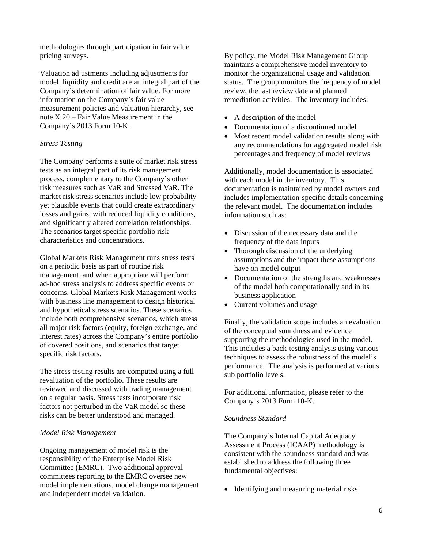methodologies through participation in fair value pricing surveys.

Valuation adjustments including adjustments for model, liquidity and credit are an integral part of the Company's determination of fair value. For more information on the Company's fair value measurement policies and valuation hierarchy, see note X 20 – Fair Value Measurement in the Company's 2013 Form 10-K.

# *Stress Testing*

The Company performs a suite of market risk stress tests as an integral part of its risk management process, complementary to the Company's other risk measures such as VaR and Stressed VaR. The market risk stress scenarios include low probability yet plausible events that could create extraordinary losses and gains, with reduced liquidity conditions, and significantly altered correlation relationships. The scenarios target specific portfolio risk characteristics and concentrations.

Global Markets Risk Management runs stress tests on a periodic basis as part of routine risk management, and when appropriate will perform ad-hoc stress analysis to address specific events or concerns. Global Markets Risk Management works with business line management to design historical and hypothetical stress scenarios. These scenarios include both comprehensive scenarios, which stress all major risk factors (equity, foreign exchange, and interest rates) across the Company's entire portfolio of covered positions, and scenarios that target specific risk factors.

The stress testing results are computed using a full revaluation of the portfolio. These results are reviewed and discussed with trading management on a regular basis. Stress tests incorporate risk factors not perturbed in the VaR model so these risks can be better understood and managed.

## *Model Risk Management*

Ongoing management of model risk is the responsibility of the Enterprise Model Risk Committee (EMRC). Two additional approval committees reporting to the EMRC oversee new model implementations, model change management and independent model validation.

By policy, the Model Risk Management Group maintains a comprehensive model inventory to monitor the organizational usage and validation status. The group monitors the frequency of model review, the last review date and planned remediation activities. The inventory includes:

- A description of the model
- Documentation of a discontinued model
- Most recent model validation results along with any recommendations for aggregated model risk percentages and frequency of model reviews

Additionally, model documentation is associated with each model in the inventory. This documentation is maintained by model owners and includes implementation-specific details concerning the relevant model. The documentation includes information such as:

- Discussion of the necessary data and the frequency of the data inputs
- Thorough discussion of the underlying assumptions and the impact these assumptions have on model output
- Documentation of the strengths and weaknesses of the model both computationally and in its business application
- Current volumes and usage

Finally, the validation scope includes an evaluation of the conceptual soundness and evidence supporting the methodologies used in the model. This includes a back-testing analysis using various techniques to assess the robustness of the model's performance. The analysis is performed at various sub portfolio levels.

For additional information, please refer to the Company's 2013 Form 10-K.

## *Soundness Standard*

The Company's Internal Capital Adequacy Assessment Process (ICAAP) methodology is consistent with the soundness standard and was established to address the following three fundamental objectives:

• Identifying and measuring material risks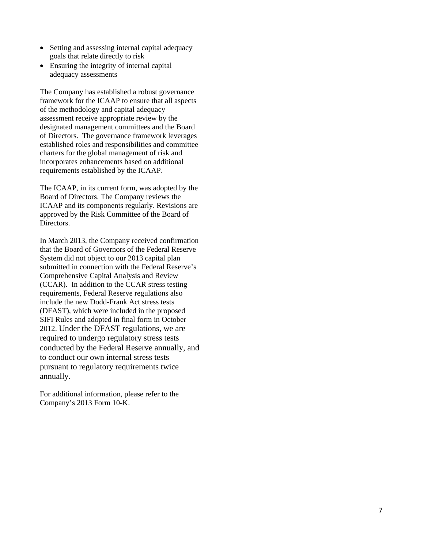- Setting and assessing internal capital adequacy goals that relate directly to risk
- Ensuring the integrity of internal capital adequacy assessments

The Company has established a robust governance framework for the ICAAP to ensure that all aspects of the methodology and capital adequacy assessment receive appropriate review by the designated management committees and the Board of Directors. The governance framework leverages established roles and responsibilities and committee charters for the global management of risk and incorporates enhancements based on additional requirements established by the ICAAP.

The ICAAP, in its current form, was adopted by the Board of Directors. The Company reviews the ICAAP and its components regularly. Revisions are approved by the Risk Committee of the Board of Directors.

In March 2013, the Company received confirmation that the Board of Governors of the Federal Reserve System did not object to our 2013 capital plan submitted in connection with the Federal Reserve's Comprehensive Capital Analysis and Review (CCAR). In addition to the CCAR stress testing requirements, Federal Reserve regulations also include the new Dodd-Frank Act stress tests (DFAST), which were included in the proposed SIFI Rules and adopted in final form in October 2012. Under the DFAST regulations, we are required to undergo regulatory stress tests conducted by the Federal Reserve annually, and to conduct our own internal stress tests pursuant to regulatory requirements twice annually.

For additional information, please refer to the Company's 2013 Form 10-K.